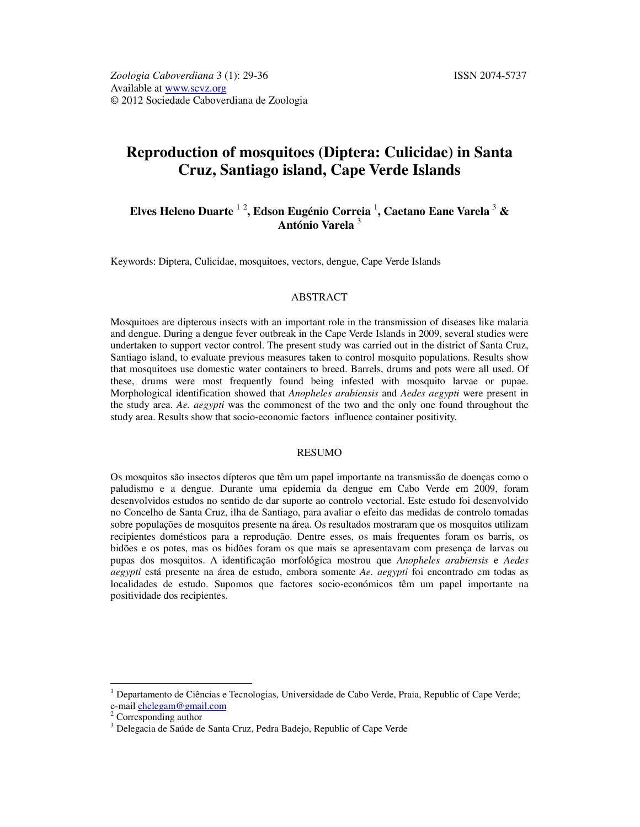# **Reproduction of mosquitoes (Diptera: Culicidae) in Santa Cruz, Santiago island, Cape Verde Islands**

# **Elves Heleno Duarte** <sup>1</sup> <sup>2</sup> **, Edson Eugénio Correia** <sup>1</sup> **, Caetano Eane Varela** <sup>3</sup>  **& António Varela** <sup>3</sup>

Keywords: Diptera, Culicidae, mosquitoes, vectors, dengue, Cape Verde Islands

#### ABSTRACT

Mosquitoes are dipterous insects with an important role in the transmission of diseases like malaria and dengue. During a dengue fever outbreak in the Cape Verde Islands in 2009, several studies were undertaken to support vector control. The present study was carried out in the district of Santa Cruz, Santiago island, to evaluate previous measures taken to control mosquito populations. Results show that mosquitoes use domestic water containers to breed. Barrels, drums and pots were all used. Of these, drums were most frequently found being infested with mosquito larvae or pupae. Morphological identification showed that *Anopheles arabiensis* and *Aedes aegypti* were present in the study area. *Ae. aegypti* was the commonest of the two and the only one found throughout the study area. Results show that socio-economic factors influence container positivity.

### RESUMO

Os mosquitos são insectos dípteros que têm um papel importante na transmissão de doenças como o paludismo e a dengue. Durante uma epidemia da dengue em Cabo Verde em 2009, foram desenvolvidos estudos no sentido de dar suporte ao controlo vectorial. Este estudo foi desenvolvido no Concelho de Santa Cruz, ilha de Santiago, para avaliar o efeito das medidas de controlo tomadas sobre populações de mosquitos presente na área. Os resultados mostraram que os mosquitos utilizam recipientes domésticos para a reprodução. Dentre esses, os mais frequentes foram os barris, os bidões e os potes, mas os bidões foram os que mais se apresentavam com presença de larvas ou pupas dos mosquitos. A identificação morfológica mostrou que *Anopheles arabiensis* e *Aedes aegypti* está presente na área de estudo, embora somente *Ae. aegypti* foi encontrado em todas as localidades de estudo. Supomos que factores socio-económicos têm um papel importante na positividade dos recipientes.

 $\ddot{\phantom{a}}$ 

<sup>&</sup>lt;sup>1</sup> Departamento de Ciências e Tecnologias, Universidade de Cabo Verde, Praia, Republic of Cape Verde; e-mail ehelegam@gmail.com

Corresponding author

<sup>&</sup>lt;sup>3</sup> Delegacia de Saúde de Santa Cruz, Pedra Badejo, Republic of Cape Verde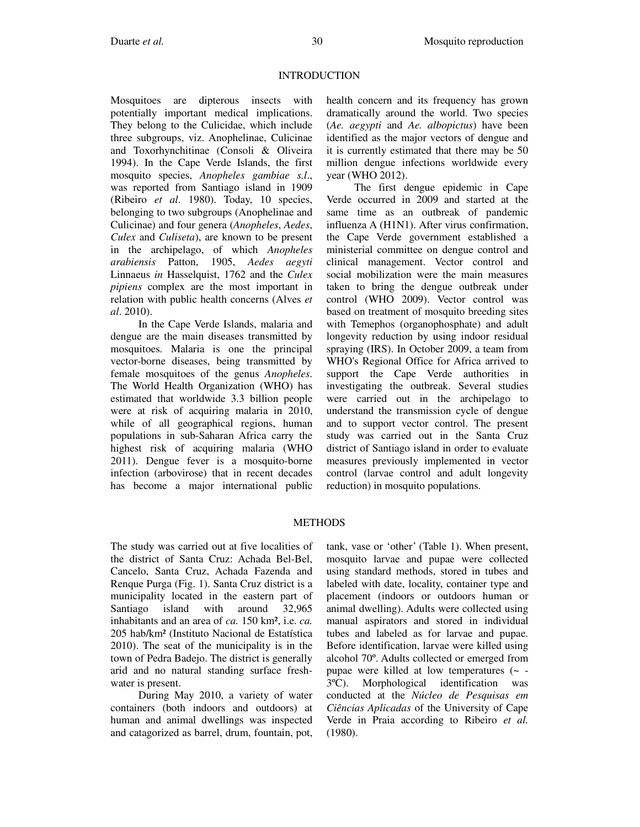### **INTRODUCTION**

Mosquitoes are dipterous insects with potentially important medical implications. They belong to the Culicidae, which include three subgroups, viz. Anophelinae, Culicinae and Toxorhynchitinae (Consoli & Oliveira 1994). In the Cape Verde Islands, the first mosquito species, *Anopheles gambiae s.l*., was reported from Santiago island in 1909 (Ribeiro *et al*. 1980). Today, 10 species, belonging to two subgroups (Anophelinae and Culicinae) and four genera (*Anopheles*, *Aedes*, *Culex* and *Culiseta*), are known to be present in the archipelago, of which *Anopheles arabiensis* Patton, 1905, *Aedes aegyti* Linnaeus *in* Hasselquist, 1762 and the *Culex pipiens* complex are the most important in relation with public health concerns (Alves *et al*. 2010).

In the Cape Verde Islands, malaria and dengue are the main diseases transmitted by mosquitoes. Malaria is one the principal vector-borne diseases, being transmitted by female mosquitoes of the genus *Anopheles*. The World Health Organization (WHO) has estimated that worldwide 3.3 billion people were at risk of acquiring malaria in 2010, while of all geographical regions, human populations in sub-Saharan Africa carry the highest risk of acquiring malaria (WHO 2011). Dengue fever is a mosquito-borne infection (arbovirose) that in recent decades has become a major international public health concern and its frequency has grown dramatically around the world. Two species (*Ae. aegypti* and *Ae. albopictus*) have been identified as the major vectors of dengue and it is currently estimated that there may be 50 million dengue infections worldwide every year (WHO 2012).

The first dengue epidemic in Cape Verde occurred in 2009 and started at the same time as an outbreak of pandemic influenza A (H1N1). After virus confirmation, the Cape Verde government established a ministerial committee on dengue control and clinical management. Vector control and social mobilization were the main measures taken to bring the dengue outbreak under control (WHO 2009). Vector control was based on treatment of mosquito breeding sites with Temephos (organophosphate) and adult longevity reduction by using indoor residual spraying (IRS). In October 2009, a team from WHO's Regional Office for Africa arrived to support the Cape Verde authorities in investigating the outbreak. Several studies were carried out in the archipelago to understand the transmission cycle of dengue and to support vector control. The present study was carried out in the Santa Cruz district of Santiago island in order to evaluate measures previously implemented in vector control (larvae control and adult longevity reduction) in mosquito populations.

# METHODS

The study was carried out at five localities of the district of Santa Cruz: Achada Bel-Bel, Cancelo, Santa Cruz, Achada Fazenda and Renque Purga (Fig. 1). Santa Cruz district is a municipality located in the eastern part of<br>Santiago island with around 32,965 Santiago island with around inhabitants and an area of *ca.* 150 km², i.e. *ca.* 205 hab/km² (Instituto Nacional de Estatística 2010). The seat of the municipality is in the town of Pedra Badejo. The district is generally arid and no natural standing surface freshwater is present.

During May 2010, a variety of water containers (both indoors and outdoors) at human and animal dwellings was inspected and catagorized as barrel, drum, fountain, pot, tank, vase or 'other' (Table 1). When present, mosquito larvae and pupae were collected using standard methods, stored in tubes and labeled with date, locality, container type and placement (indoors or outdoors human or animal dwelling). Adults were collected using manual aspirators and stored in individual tubes and labeled as for larvae and pupae. Before identification, larvae were killed using alcohol 70º. Adults collected or emerged from pupae were killed at low temperatures (~ - 3ºC). Morphological identification was conducted at the *Núcleo de Pesquisas em Ciências Aplicadas* of the University of Cape Verde in Praia according to Ribeiro *et al.* (1980).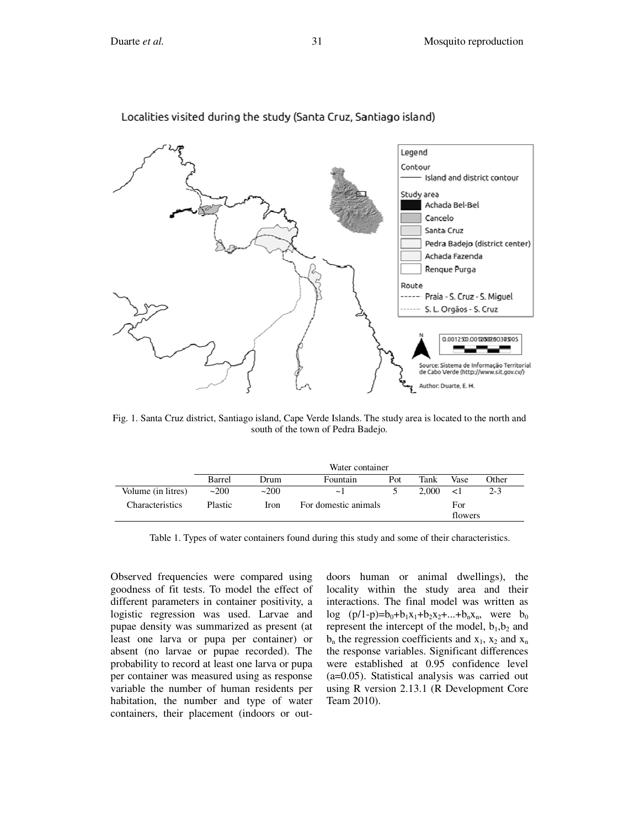

Localities visited during the study (Santa Cruz, Santiago island)

Fig. 1. Santa Cruz district, Santiago island, Cape Verde Islands. The study area is located to the north and south of the town of Pedra Badejo.

|                    | Water container |      |                      |     |       |         |         |
|--------------------|-----------------|------|----------------------|-----|-------|---------|---------|
|                    | Barrel          | Drum | Fountain             | Pot | Tank  | Vase    | : Other |
| Volume (in litres) | ~200            | ~200 | $\sim$ 1             |     | 2.000 | $\leq$  | $2 - 3$ |
| Characteristics    | <b>Plastic</b>  | Iron | For domestic animals |     |       | For     |         |
|                    |                 |      |                      |     |       | flowers |         |

Table 1. Types of water containers found during this study and some of their characteristics.

Observed frequencies were compared using goodness of fit tests. To model the effect of different parameters in container positivity, a logistic regression was used. Larvae and pupae density was summarized as present (at least one larva or pupa per container) or absent (no larvae or pupae recorded). The probability to record at least one larva or pupa per container was measured using as response variable the number of human residents per habitation, the number and type of water containers, their placement (indoors or out-

doors human or animal dwellings), the locality within the study area and their interactions. The final model was written as  $log (p/1-p)=b_0+b_1x_1+b_2x_2+...+b_nx_n$ , were  $b_0$ represent the intercept of the model,  $b_1$ ,  $b_2$  and  $b_n$  the regression coefficients and  $x_1$ ,  $x_2$  and  $x_n$ the response variables. Significant differences were established at 0.95 confidence level (a=0.05). Statistical analysis was carried out using R version 2.13.1 (R Development Core Team 2010).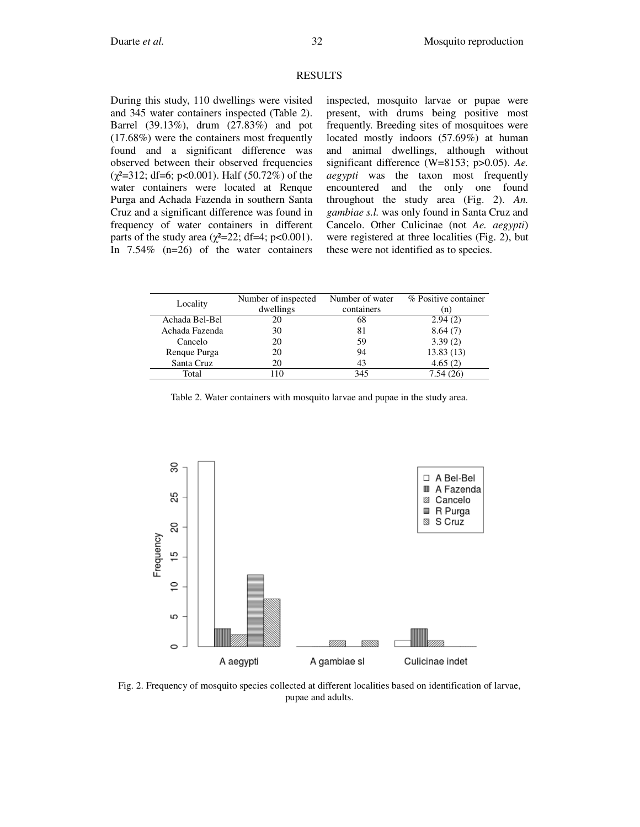#### **RESULTS**

During this study, 110 dwellings were visited and 345 water containers inspected (Table 2). Barrel (39.13%), drum (27.83%) and pot (17.68%) were the containers most frequently found and a significant difference was observed between their observed frequencies  $(\chi^2=312; df=6; p<0.001)$ . Half (50.72%) of the water containers were located at Renque Purga and Achada Fazenda in southern Santa Cruz and a significant difference was found in frequency of water containers in different parts of the study area  $(\gamma^2=22; df=4; p<0.001)$ . In 7.54% (n=26) of the water containers inspected, mosquito larvae or pupae were present, with drums being positive most frequently. Breeding sites of mosquitoes were located mostly indoors (57.69%) at human and animal dwellings, although without significant difference (W=8153; p>0.05). *Ae. aegypti* was the taxon most frequently encountered and the only one found throughout the study area (Fig. 2). *An. gambiae s.l.* was only found in Santa Cruz and Cancelo. Other Culicinae (not *Ae. aegypti*) were registered at three localities (Fig. 2), but these were not identified as to species.

| Locality       | Number of inspected | Number of water | % Positive container |  |
|----------------|---------------------|-----------------|----------------------|--|
|                | dwellings           | containers      | (n)                  |  |
| Achada Bel-Bel | 20                  | 68              | 2.94(2)              |  |
| Achada Fazenda | 30                  | 81              | 8.64(7)              |  |
| Cancelo        | 20                  | 59              | 3.39(2)              |  |
| Rengue Purga   | 20                  | 94              | 13.83(13)            |  |
| Santa Cruz     | 20                  | 43              | 4.65(2)              |  |
| Total          | 110                 | 345             | 7.54(26)             |  |
|                |                     |                 |                      |  |

Table 2. Water containers with mosquito larvae and pupae in the study area.



Fig. 2. Frequency of mosquito species collected at different localities based on identification of larvae, pupae and adults.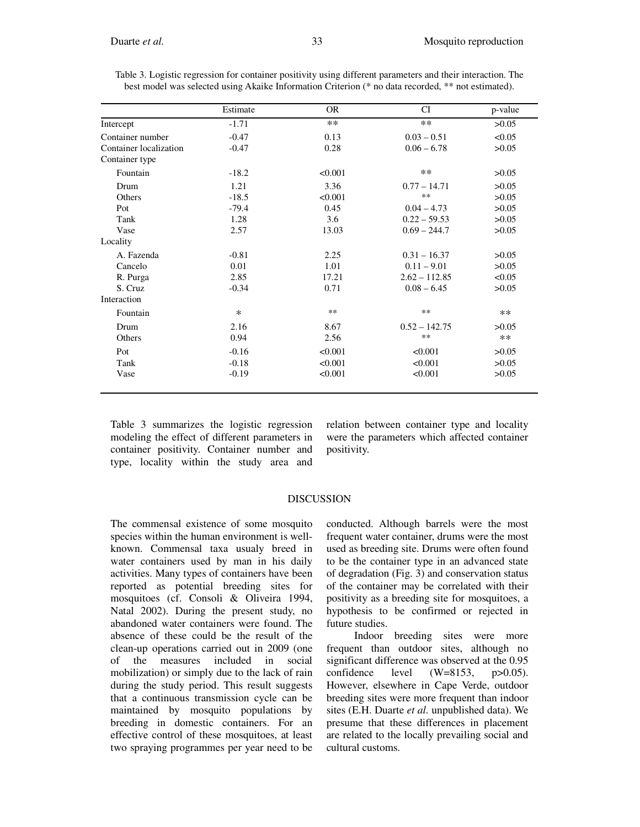|                        | Estimate | OR      | CI              | p-value |
|------------------------|----------|---------|-----------------|---------|
| Intercept              | $-1.71$  | $**$    | $**$            | >0.05   |
| Container number       | $-0.47$  | 0.13    | $0.03 - 0.51$   | < 0.05  |
| Container localization | $-0.47$  | 0.28    | $0.06 - 6.78$   | >0.05   |
| Container type         |          |         |                 |         |
| Fountain               | $-18.2$  | < 0.001 | $**$            | >0.05   |
| Drum                   | 1.21     | 3.36    | $0.77 - 14.71$  | >0.05   |
| <b>Others</b>          | $-18.5$  | < 0.001 | $**$            | >0.05   |
| Pot                    | $-79.4$  | 0.45    | $0.04 - 4.73$   | >0.05   |
| Tank                   | 1.28     | 3.6     | $0.22 - 59.53$  | >0.05   |
| Vase                   | 2.57     | 13.03   | $0.69 - 244.7$  | >0.05   |
| Locality               |          |         |                 |         |
| A. Fazenda             | $-0.81$  | 2.25    | $0.31 - 16.37$  | >0.05   |
| Cancelo                | 0.01     | 1.01    | $0.11 - 9.01$   | >0.05   |
| R. Purga               | 2.85     | 17.21   | $2.62 - 112.85$ | < 0.05  |
| S. Cruz                | $-0.34$  | 0.71    | $0.08 - 6.45$   | >0.05   |
| Interaction            |          |         |                 |         |
| Fountain               | $\ast$   | $**$    | $***$           | $**$    |
| Drum                   | 2.16     | 8.67    | $0.52 - 142.75$ | >0.05   |
| <b>Others</b>          | 0.94     | 2.56    | $**$            | $**$    |
| Pot                    | $-0.16$  | < 0.001 | < 0.001         | >0.05   |
| Tank                   | $-0.18$  | < 0.001 | < 0.001         | >0.05   |
| Vase                   | $-0.19$  | < 0.001 | < 0.001         | >0.05   |

Table 3. Logistic regression for container positivity using different parameters and their interaction. The best model was selected using Akaike Information Criterion (\* no data recorded, \*\* not estimated).

Table 3 summarizes the logistic regression modeling the effect of different parameters in container positivity. Container number and type, locality within the study area and

relation between container type and locality were the parameters which affected container positivity.

#### DISCUSSION

The commensal existence of some mosquito species within the human environment is wellknown. Commensal taxa usualy breed in water containers used by man in his daily activities. Many types of containers have been reported as potential breeding sites for mosquitoes (cf. Consoli & Oliveira 1994, Natal 2002). During the present study, no abandoned water containers were found. The absence of these could be the result of the clean-up operations carried out in 2009 (one of the measures included in social mobilization) or simply due to the lack of rain during the study period. This result suggests that a continuous transmission cycle can be maintained by mosquito populations by breeding in domestic containers. For an effective control of these mosquitoes, at least two spraying programmes per year need to be

conducted. Although barrels were the most frequent water container, drums were the most used as breeding site. Drums were often found to be the container type in an advanced state of degradation (Fig. 3) and conservation status of the container may be correlated with their positivity as a breeding site for mosquitoes, a hypothesis to be confirmed or rejected in future studies.

Indoor breeding sites were more frequent than outdoor sites, although no significant difference was observed at the 0.95 confidence level (W=8153, p>0.05). However, elsewhere in Cape Verde, outdoor breeding sites were more frequent than indoor sites (E.H. Duarte *et al.* unpublished data). We presume that these differences in placement are related to the locally prevailing social and cultural customs.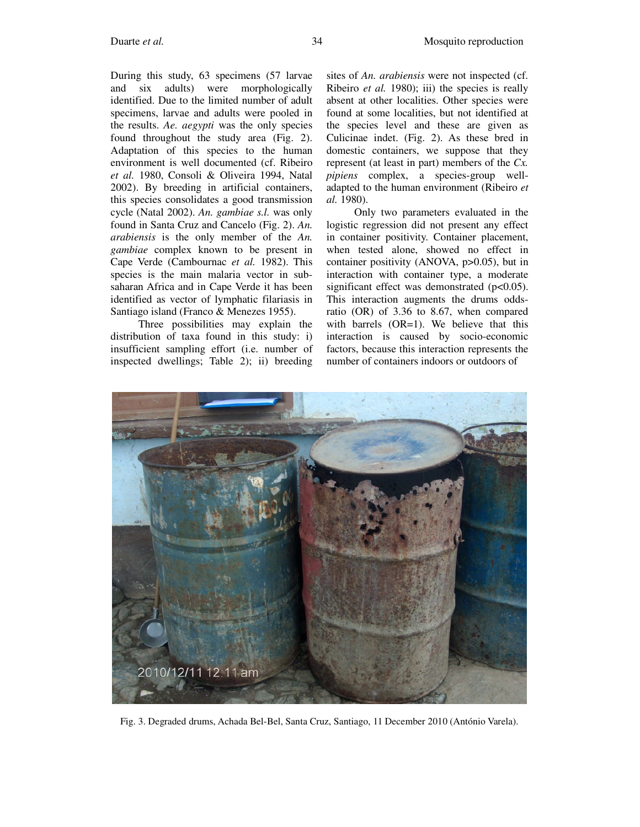During this study, 63 specimens (57 larvae and six adults) were morphologically identified. Due to the limited number of adult specimens, larvae and adults were pooled in the results. *Ae. aegypti* was the only species found throughout the study area (Fig. 2). Adaptation of this species to the human environment is well documented (cf. Ribeiro *et al.* 1980, Consoli & Oliveira 1994, Natal 2002). By breeding in artificial containers, this species consolidates a good transmission cycle (Natal 2002). *An. gambiae s.l.* was only found in Santa Cruz and Cancelo (Fig. 2). *An. arabiensis* is the only member of the *An. gambiae* complex known to be present in Cape Verde (Cambournac *et al.* 1982). This species is the main malaria vector in subsaharan Africa and in Cape Verde it has been identified as vector of lymphatic filariasis in Santiago island (Franco & Menezes 1955).

Three possibilities may explain the distribution of taxa found in this study: i) insufficient sampling effort (i.e. number of inspected dwellings; Table 2); ii) breeding

sites of *An. arabiensis* were not inspected (cf. Ribeiro *et al.* 1980); iii) the species is really absent at other localities. Other species were found at some localities, but not identified at the species level and these are given as Culicinae indet. (Fig. 2). As these bred in domestic containers, we suppose that they represent (at least in part) members of the *Cx. pipiens* complex, a species-group welladapted to the human environment (Ribeiro *et al.* 1980).

Only two parameters evaluated in the logistic regression did not present any effect in container positivity. Container placement, when tested alone, showed no effect in container positivity (ANOVA, p>0.05), but in interaction with container type, a moderate significant effect was demonstrated  $(p<0.05)$ . This interaction augments the drums oddsratio (OR) of 3.36 to 8.67, when compared with barrels  $(OR=1)$ . We believe that this interaction is caused by socio-economic factors, because this interaction represents the number of containers indoors or outdoors of



Fig. 3. Degraded drums, Achada Bel-Bel, Santa Cruz, Santiago, 11 December 2010 (António Varela).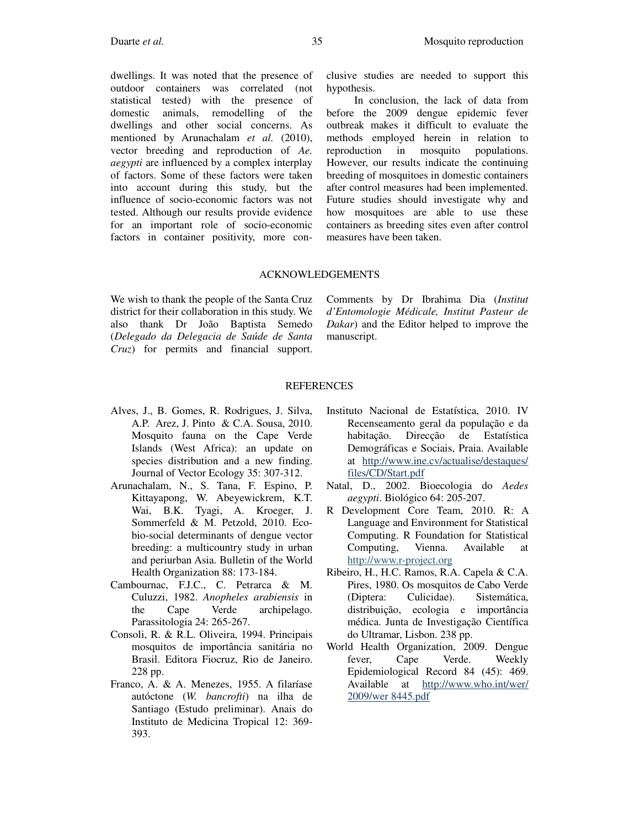dwellings. It was noted that the presence of outdoor containers was correlated (not statistical tested) with the presence of domestic animals, remodelling of the dwellings and other social concerns. As mentioned by Arunachalam *et al.* (2010), vector breeding and reproduction of *Ae. aegypti* are influenced by a complex interplay of factors. Some of these factors were taken into account during this study, but the influence of socio-economic factors was not tested. Although our results provide evidence for an important role of socio-economic factors in container positivity, more con-

clusive studies are needed to support this hypothesis.

In conclusion, the lack of data from before the 2009 dengue epidemic fever outbreak makes it difficult to evaluate the methods employed herein in relation to reproduction in mosquito populations. However, our results indicate the continuing breeding of mosquitoes in domestic containers after control measures had been implemented. Future studies should investigate why and how mosquitoes are able to use these containers as breeding sites even after control measures have been taken.

#### ACKNOWLEDGEMENTS

We wish to thank the people of the Santa Cruz district for their collaboration in this study. We also thank Dr João Baptista Semedo (*Delegado da Delegacia de Saúde de Santa Cruz*) for permits and financial support.

Comments by Dr Ibrahima Dia (*Institut d'Entomologie Médicale, Institut Pasteur de Dakar*) and the Editor helped to improve the manuscript.

# REFERENCES

- Alves, J., B. Gomes, R. Rodrigues, J. Silva, A.P. Arez, J. Pinto & C.A. Sousa, 2010. Mosquito fauna on the Cape Verde Islands (West Africa): an update on species distribution and a new finding. Journal of Vector Ecology 35: 307-312.
- Arunachalam, N., S. Tana, F. Espino, P. Kittayapong, W. Abeyewickrem, K.T. Wai, B.K. Tyagi, A. Kroeger, J. Sommerfeld & M. Petzold, 2010. Ecobio-social determinants of dengue vector breeding: a multicountry study in urban and periurban Asia. Bulletin of the World Health Organization 88: 173-184.
- Cambournac, F.J.C., C. Petrarca & M. Culuzzi, 1982. *Anopheles arabiensis* in the Cape Verde archipelago. Parassitologia 24: 265-267.
- Consoli, R. & R.L. Oliveira, 1994. Principais mosquitos de importância sanitária no Brasil. Editora Fiocruz, Rio de Janeiro. 228 pp.
- Franco, A. & A. Menezes, 1955. A filaríase autóctone (*W. bancrofti*) na ilha de Santiago (Estudo preliminar). Anais do Instituto de Medicina Tropical 12: 369- 393.
- Instituto Nacional de Estatística, 2010. IV Recenseamento geral da população e da habitação. Direcção de Estatística Demográficas e Sociais, Praia. Available at http://www.ine.cv/actualise/destaques/ files/CD/Start.pdf
- Natal, D., 2002. Bioecologia do *Aedes aegypti*. Biológico 64: 205-207.
- R Development Core Team, 2010. R: A Language and Environment for Statistical Computing. R Foundation for Statistical Computing, Vienna. Available at http://www.r-project.org
- Ribeiro, H., H.C. Ramos, R.A. Capela & C.A. Pires, 1980. Os mosquitos de Cabo Verde (Diptera: Culicidae). Sistemática, distribuição, ecologia e importância médica. Junta de Investigação Científica do Ultramar, Lisbon. 238 pp.
- World Health Organization, 2009. Dengue fever, Cape Verde. Weekly Epidemiological Record 84 (45): 469. Available at http://www.who.int/wer/ 2009/wer 8445.pdf